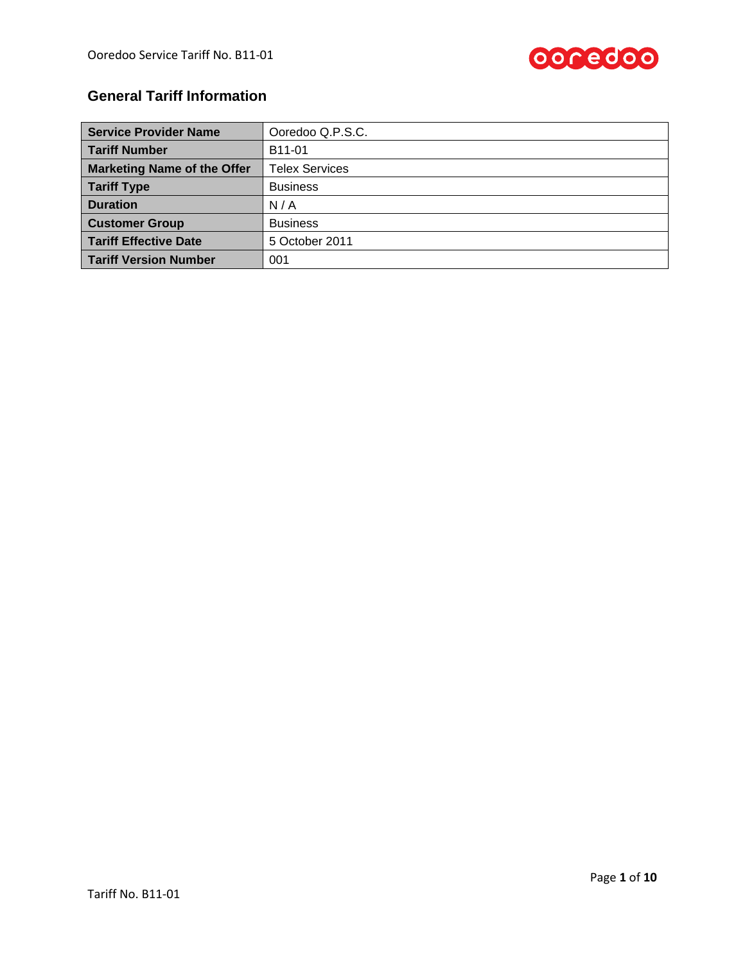

# **General Tariff Information**

| <b>Service Provider Name</b>       | Ooredoo Q.P.S.C.      |
|------------------------------------|-----------------------|
| <b>Tariff Number</b>               | B11-01                |
| <b>Marketing Name of the Offer</b> | <b>Telex Services</b> |
| <b>Tariff Type</b>                 | <b>Business</b>       |
| <b>Duration</b>                    | N/A                   |
| <b>Customer Group</b>              | <b>Business</b>       |
| <b>Tariff Effective Date</b>       | 5 October 2011        |
| <b>Tariff Version Number</b>       | 001                   |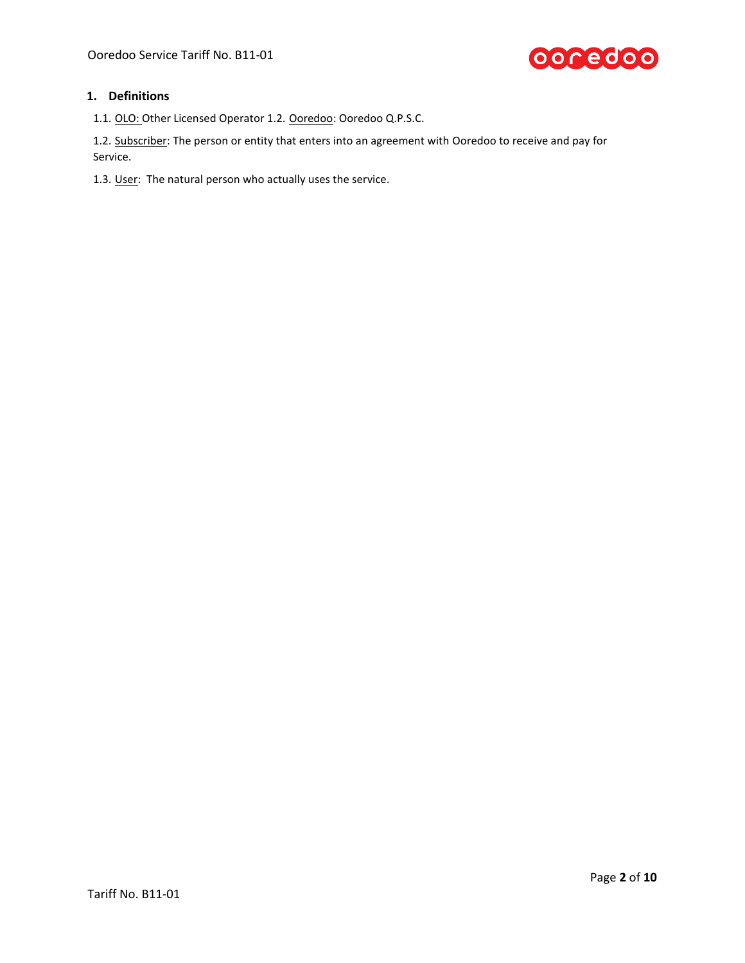

## **1. Definitions**

1.1. OLO: Other Licensed Operator 1.2. Ooredoo: Ooredoo Q.P.S.C.

1.2. Subscriber: The person or entity that enters into an agreement with Ooredoo to receive and pay for Service.

1.3. User: The natural person who actually uses the service.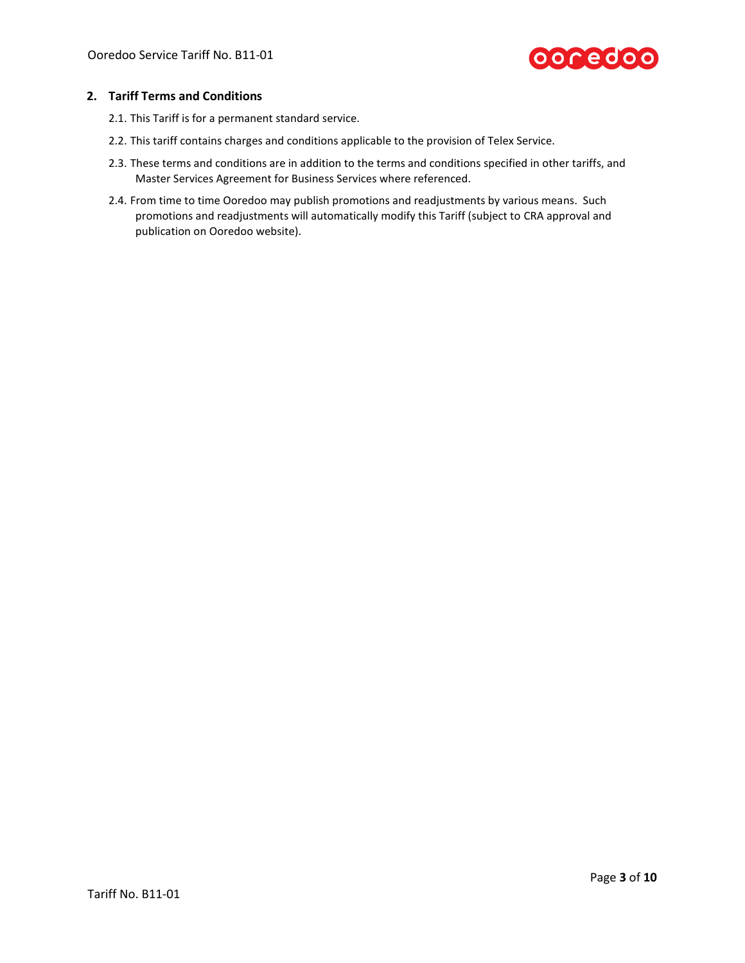

## **2. Tariff Terms and Conditions**

- 2.1. This Tariff is for a permanent standard service.
- 2.2. This tariff contains charges and conditions applicable to the provision of Telex Service.
- 2.3. These terms and conditions are in addition to the terms and conditions specified in other tariffs, and Master Services Agreement for Business Services where referenced.
- 2.4. From time to time Ooredoo may publish promotions and readjustments by various means. Such promotions and readjustments will automatically modify this Tariff (subject to CRA approval and publication on Ooredoo website).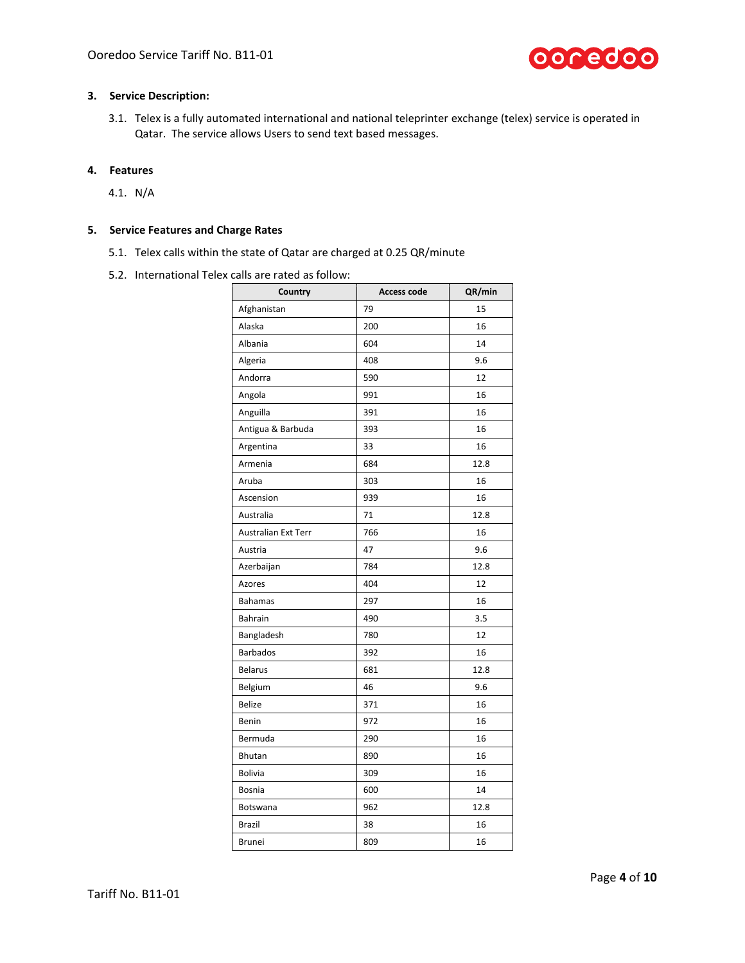

#### **3. Service Description:**

3.1. Telex is a fully automated international and national teleprinter exchange (telex) service is operated in Qatar. The service allows Users to send text based messages.

## **4. Features**

4.1. N/A

# **5. Service Features and Charge Rates**

- 5.1. Telex calls within the state of Qatar are charged at 0.25 QR/minute
- 5.2. International Telex calls are rated as follow:

| Country                    | <b>Access code</b> | QR/min |
|----------------------------|--------------------|--------|
| Afghanistan                | 79                 | 15     |
| Alaska                     | 200                | 16     |
| Albania                    | 604                | 14     |
| Algeria                    | 408                | 9.6    |
| Andorra                    | 590                | 12     |
| Angola                     | 991                | 16     |
| Anguilla                   | 391                | 16     |
| Antigua & Barbuda          | 393                | 16     |
| Argentina                  | 33                 | 16     |
| Armenia                    | 684                | 12.8   |
| Aruba                      | 303                | 16     |
| Ascension                  | 939                | 16     |
| Australia                  | 71                 | 12.8   |
| <b>Australian Ext Terr</b> | 766                | 16     |
| Austria                    | 47                 | 9.6    |
| Azerbaijan                 | 784                | 12.8   |
| Azores                     | 404                | 12     |
| <b>Bahamas</b>             | 297                | 16     |
| Bahrain                    | 490                | 3.5    |
| Bangladesh                 | 780                | 12     |
| <b>Barbados</b>            | 392                | 16     |
| <b>Belarus</b>             | 681                | 12.8   |
| Belgium                    | 46                 | 9.6    |
| <b>Belize</b>              | 371                | 16     |
| Benin                      | 972                | 16     |
| Bermuda                    | 290                | 16     |
| Bhutan                     | 890                | 16     |
| <b>Bolivia</b>             | 309                | 16     |
| <b>Bosnia</b>              | 600                | 14     |
| Botswana                   | 962                | 12.8   |
| Brazil                     | 38                 | 16     |
| <b>Brunei</b>              | 809                | 16     |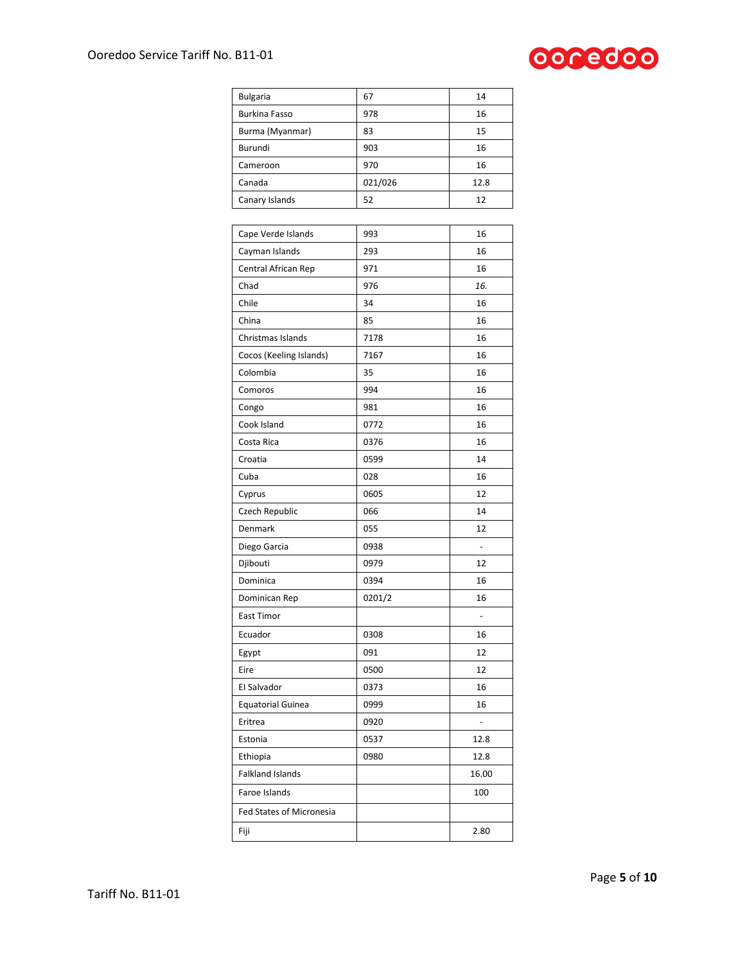

| <b>Bulgaria</b>          | 67      | 14    |
|--------------------------|---------|-------|
| <b>Burkina Fasso</b>     | 978     | 16    |
| Burma (Myanmar)          | 83      | 15    |
| Burundi                  | 903     | 16    |
| Cameroon                 | 970     | 16    |
| Canada                   | 021/026 | 12.8  |
| Canary Islands           | 52      | 12    |
|                          |         |       |
| Cape Verde Islands       | 993     | 16    |
| Cayman Islands           | 293     | 16    |
| Central African Rep      | 971     | 16    |
| Chad                     | 976     | 16.   |
| Chile                    | 34      | 16    |
| China                    | 85      | 16    |
| Christmas Islands        | 7178    | 16    |
| Cocos (Keeling Islands)  | 7167    | 16    |
| Colombia                 | 35      | 16    |
| Comoros                  | 994     | 16    |
| Congo                    | 981     | 16    |
| Cook Island              | 0772    | 16    |
| Costa Rica               | 0376    | 16    |
| Croatia                  | 0599    | 14    |
| Cuba                     | 028     | 16    |
| Cyprus                   | 0605    | 12    |
| Czech Republic           | 066     | 14    |
| Denmark                  | 055     | 12    |
| Diego Garcia             | 0938    |       |
| Djibouti                 | 0979    | 12    |
| Dominica                 | 0394    | 16    |
| Dominican Rep            | 0201/2  | 16    |
| East Timor               |         | ÷,    |
| Ecuador                  | 0308    | 16    |
| Egypt                    | 091     | 12    |
| Eire                     | 0500    | 12    |
| El Salvador              | 0373    | 16    |
| <b>Equatorial Guinea</b> | 0999    | 16    |
| Eritrea                  | 0920    | ÷,    |
| Estonia                  | 0537    | 12.8  |
| Ethiopia                 | 0980    | 12.8  |
| <b>Falkland Islands</b>  |         | 16.00 |
| Faroe Islands            |         | 100   |
| Fed States of Micronesia |         |       |
| Fiji                     |         | 2.80  |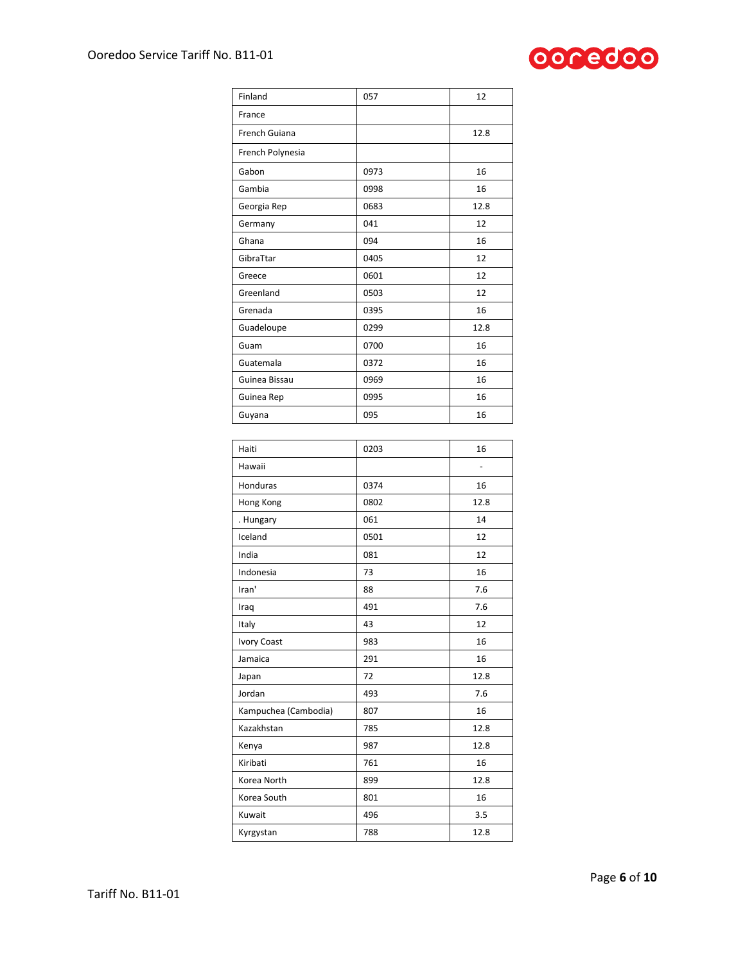

| Finland              | 057  | 12                |
|----------------------|------|-------------------|
| France               |      |                   |
| French Guiana        |      | 12.8              |
| French Polynesia     |      |                   |
| Gabon                | 0973 | 16                |
| Gambia               | 0998 | 16                |
| Georgia Rep          | 0683 | 12.8              |
| Germany              | 041  | 12                |
| Ghana                | 094  | 16                |
| GibraTtar            | 0405 | 12                |
| Greece               | 0601 | 12                |
| Greenland            | 0503 | 12                |
| Grenada              | 0395 | 16                |
| Guadeloupe           | 0299 | 12.8              |
| Guam                 | 0700 | 16                |
| Guatemala            | 0372 | 16                |
| Guinea Bissau        | 0969 | 16                |
| Guinea Rep           | 0995 | 16                |
| Guyana               | 095  | 16                |
|                      |      |                   |
| Haiti                | 0203 | 16                |
| Hawaii               |      | $\qquad \qquad -$ |
| Honduras             | 0374 | 16                |
| Hong Kong            | 0802 | 12.8              |
| . Hungary            | 061  | 14                |
| Iceland              | 0501 | 12                |
| India                | 081  | 12                |
| Indonesia            | 73   | 16                |
| Iran'                | 88   | 7.6               |
| Iraq                 | 491  | 7.6               |
| Italy                | 43   | 12                |
| <b>Ivory Coast</b>   | 983  | 16                |
| Jamaica              | 291  | 16                |
| Japan                | 72   | 12.8              |
| Jordan               | 493  | 7.6               |
| Kampuchea (Cambodia) | 807  | 16                |
| Kazakhstan           | 785  | 12.8              |
| Kenya                | 987  | 12.8              |
| Kiribati             | 761  | 16                |
| Korea North          | 899  | 12.8              |
| Korea South          | 801  | 16                |
| Kuwait               | 496  | 3.5               |
| Kyrgystan            | 788  | 12.8              |
|                      |      |                   |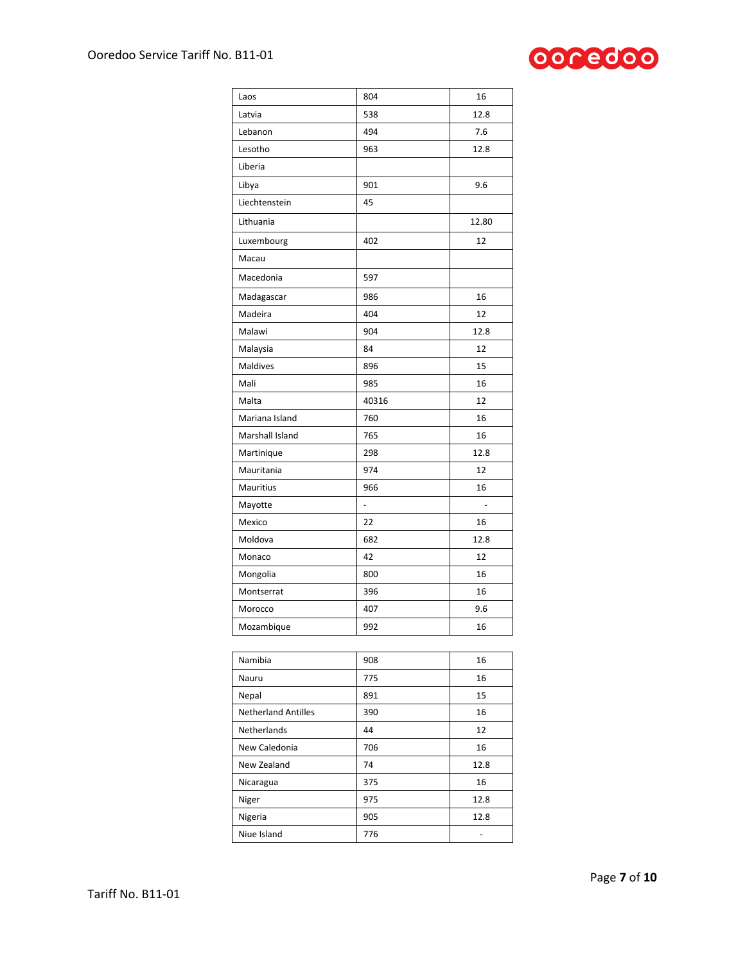

| Laos                       | 804                      | 16    |
|----------------------------|--------------------------|-------|
| Latvia                     | 538                      | 12.8  |
| Lebanon                    | 494                      | 7.6   |
| Lesotho                    | 963                      | 12.8  |
| Liberia                    |                          |       |
| Libya                      | 901                      | 9.6   |
| Liechtenstein              | 45                       |       |
| Lithuania                  |                          | 12.80 |
| Luxembourg                 | 402                      | 12    |
| Macau                      |                          |       |
| Macedonia                  | 597                      |       |
| Madagascar                 | 986                      | 16    |
| Madeira                    | 404                      | 12    |
| Malawi                     | 904                      | 12.8  |
| Malaysia                   | 84                       | 12    |
| <b>Maldives</b>            | 896                      | 15    |
| Mali                       | 985                      | 16    |
| Malta                      | 40316                    | 12    |
| Mariana Island             | 760                      | 16    |
| Marshall Island            | 765                      | 16    |
| Martinique                 | 298                      | 12.8  |
| Mauritania                 | 974                      | 12    |
| Mauritius                  | 966                      | 16    |
| Mayotte                    | $\overline{\phantom{0}}$ |       |
| Mexico                     | 22                       | 16    |
| Moldova                    | 682                      | 12.8  |
| Monaco                     | 42                       | 12    |
| Mongolia                   | 800                      | 16    |
| Montserrat                 | 396                      | 16    |
| Morocco                    | 407                      | 9.6   |
| Mozambique                 | 992                      | 16    |
|                            |                          |       |
| Namibia                    | 908                      | 16    |
| Nauru                      | 775                      | 16    |
| Nepal                      | 891                      | 15    |
| <b>Netherland Antilles</b> | 390                      | 16    |
| Netherlands                | 44                       | 12    |

New Caledonia 2006 2016 New Zealand 74 12.8 Nicaragua 375 16 Niger 12.8 Nigeria 12.8 Niue Island 776 and 776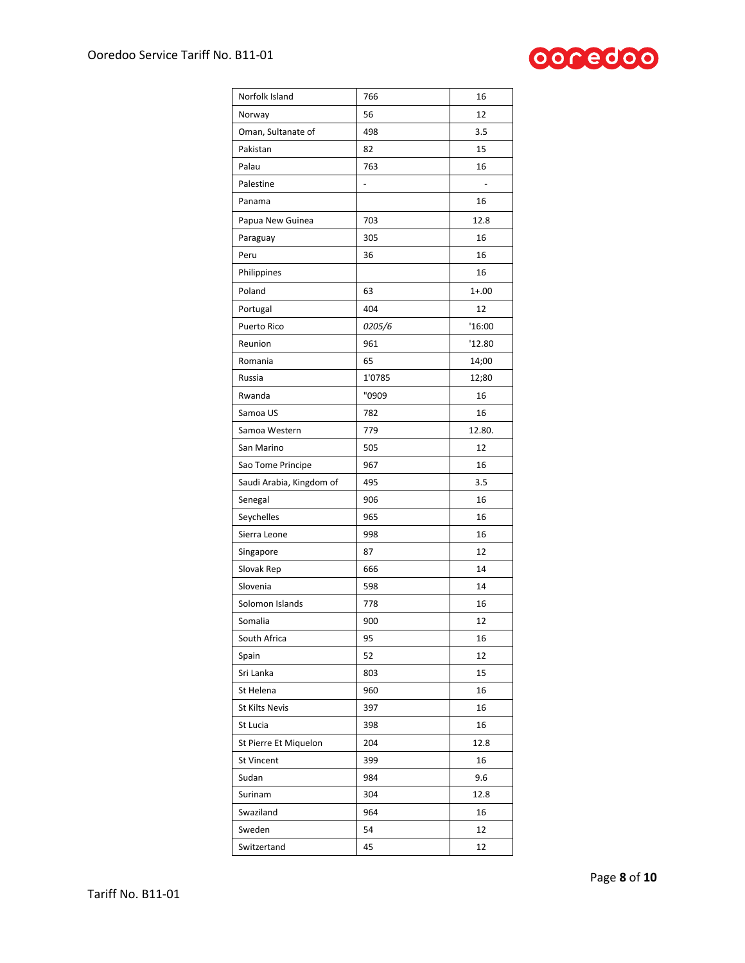

| Norfolk Island           | 766    | 16        |
|--------------------------|--------|-----------|
| Norway                   | 56     | 12        |
| Oman, Sultanate of       | 498    | 3.5       |
| Pakistan                 | 82     | 15        |
| Palau                    | 763    | 16        |
| Palestine                | -      |           |
| Panama                   |        | 16        |
| Papua New Guinea         | 703    | 12.8      |
| Paraguay                 | 305    | 16        |
| Peru                     | 36     | 16        |
| Philippines              |        | 16        |
| Poland                   | 63     | $1 + .00$ |
| Portugal                 | 404    | 12        |
| Puerto Rico              | 0205/6 | '16:00    |
| Reunion                  | 961    | '12.80    |
| Romania                  | 65     | 14;00     |
| Russia                   | 1'0785 | 12;80     |
| Rwanda                   | "0909  | 16        |
| Samoa US                 | 782    | 16        |
| Samoa Western            | 779    | 12.80.    |
| San Marino               | 505    | 12        |
| Sao Tome Principe        | 967    | 16        |
| Saudi Arabia, Kingdom of | 495    | 3.5       |
| Senegal                  | 906    | 16        |
| Seychelles               | 965    | 16        |
| Sierra Leone             | 998    | 16        |
| Singapore                | 87     | 12        |
| Slovak Rep               | 666    | 14        |
| Slovenia                 | 598    | 14        |
| Solomon Islands          | 778    | 16        |
| Somalia                  | 900    | 12        |
| South Africa             | 95     | 16        |
| Spain                    | 52     | 12        |
| Sri Lanka                | 803    | 15        |
| St Helena                | 960    | 16        |
| <b>St Kilts Nevis</b>    | 397    | 16        |
| St Lucia                 | 398    | 16        |
| St Pierre Et Miquelon    | 204    | 12.8      |
| <b>St Vincent</b>        | 399    | 16        |
| Sudan                    | 984    | 9.6       |
| Surinam                  | 304    | 12.8      |
| Swaziland                | 964    | 16        |
| Sweden                   | 54     | 12        |
| Switzertand              | 45     | 12        |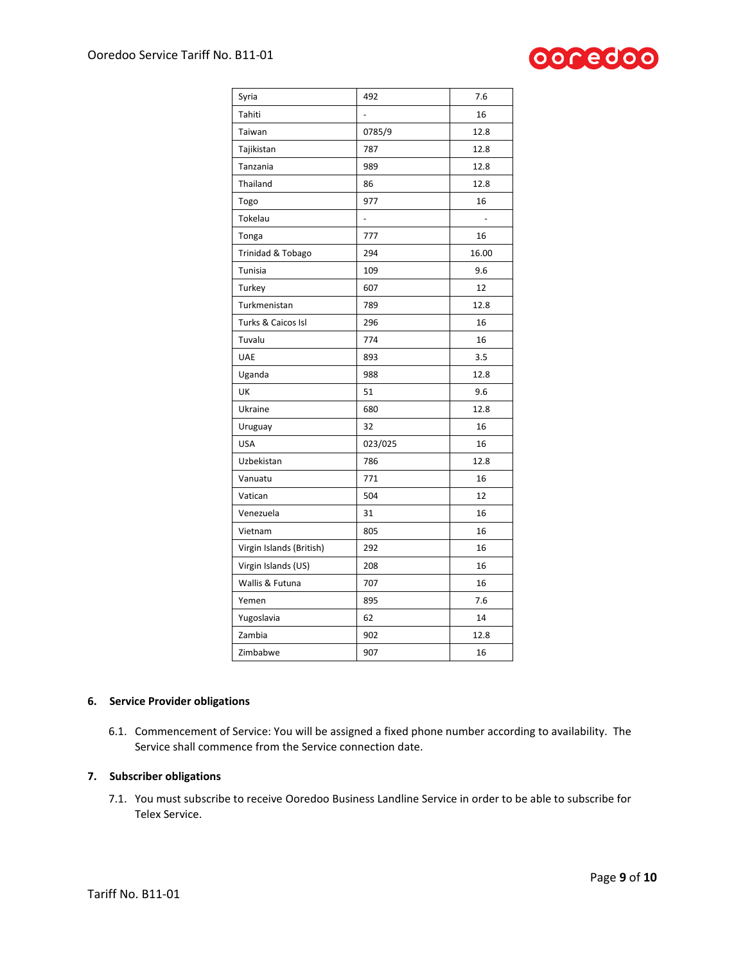

| Syria                    | 492     | 7.6   |
|--------------------------|---------|-------|
| Tahiti                   |         | 16    |
| Taiwan                   | 0785/9  | 12.8  |
| Tajikistan               | 787     | 12.8  |
| Tanzania                 | 989     | 12.8  |
| Thailand                 | 86      | 12.8  |
| Togo                     | 977     | 16    |
| Tokelau                  | -       |       |
| Tonga                    | 777     | 16    |
| Trinidad & Tobago        | 294     | 16.00 |
| Tunisia                  | 109     | 9.6   |
| Turkey                   | 607     | 12    |
| Turkmenistan             | 789     | 12.8  |
| Turks & Caicos Isl       | 296     | 16    |
| Tuvalu                   | 774     | 16    |
| <b>UAE</b>               | 893     | 3.5   |
| Uganda                   | 988     | 12.8  |
| UK                       | 51      | 9.6   |
| Ukraine                  | 680     | 12.8  |
| Uruguay                  | 32      | 16    |
| <b>USA</b>               | 023/025 | 16    |
| Uzbekistan               | 786     | 12.8  |
| Vanuatu                  | 771     | 16    |
| Vatican                  | 504     | 12    |
| Venezuela                | 31      | 16    |
| Vietnam                  | 805     | 16    |
| Virgin Islands (British) | 292     | 16    |
| Virgin Islands (US)      | 208     | 16    |
| Wallis & Futuna          | 707     | 16    |
| Yemen                    | 895     | 7.6   |
| Yugoslavia               | 62      | 14    |
| Zambia                   | 902     | 12.8  |
| Zimbabwe                 | 907     | 16    |

#### **6. Service Provider obligations**

6.1. Commencement of Service: You will be assigned a fixed phone number according to availability. The Service shall commence from the Service connection date.

#### **7. Subscriber obligations**

7.1. You must subscribe to receive Ooredoo Business Landline Service in order to be able to subscribe for Telex Service.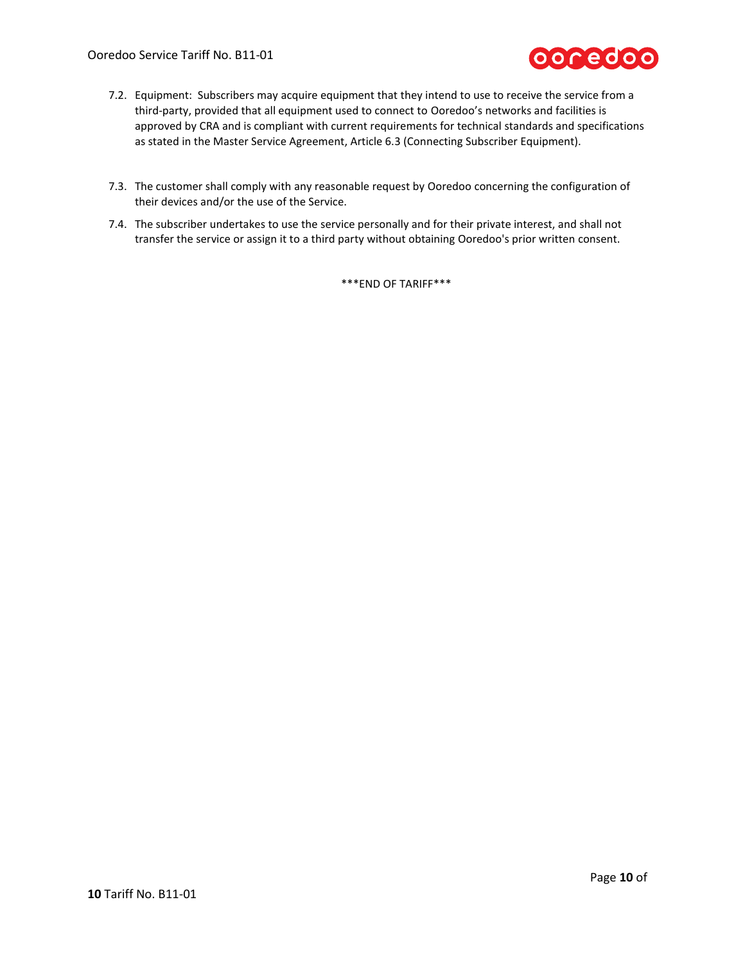

- 7.2. Equipment: Subscribers may acquire equipment that they intend to use to receive the service from a third-party, provided that all equipment used to connect to Ooredoo's networks and facilities is approved by CRA and is compliant with current requirements for technical standards and specifications as stated in the Master Service Agreement, Article 6.3 (Connecting Subscriber Equipment).
- 7.3. The customer shall comply with any reasonable request by Ooredoo concerning the configuration of their devices and/or the use of the Service.
- 7.4. The subscriber undertakes to use the service personally and for their private interest, and shall not transfer the service or assign it to a third party without obtaining Ooredoo's prior written consent.

\*\*\*END OF TARIFF\*\*\*